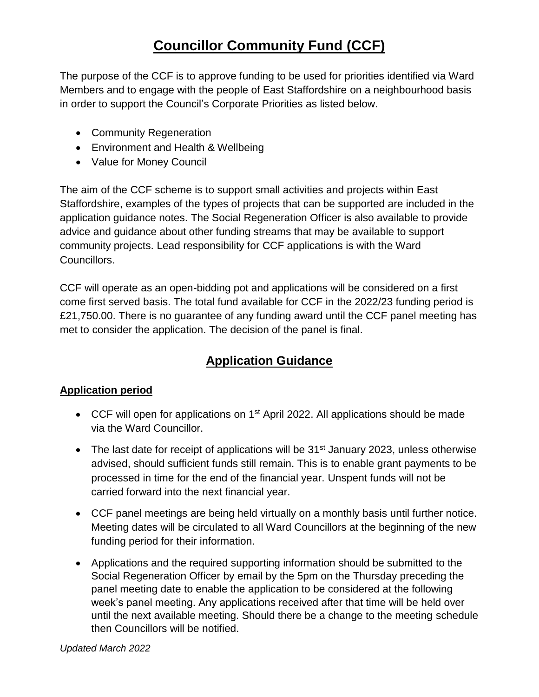# **Councillor Community Fund (CCF)**

The purpose of the CCF is to approve funding to be used for priorities identified via Ward Members and to engage with the people of East Staffordshire on a neighbourhood basis in order to support the Council's Corporate Priorities as listed below.

- Community Regeneration
- Environment and Health & Wellbeing
- Value for Money Council

The aim of the CCF scheme is to support small activities and projects within East Staffordshire, examples of the types of projects that can be supported are included in the application guidance notes. The Social Regeneration Officer is also available to provide advice and guidance about other funding streams that may be available to support community projects. Lead responsibility for CCF applications is with the Ward Councillors.

CCF will operate as an open-bidding pot and applications will be considered on a first come first served basis. The total fund available for CCF in the 2022/23 funding period is £21,750.00. There is no guarantee of any funding award until the CCF panel meeting has met to consider the application. The decision of the panel is final.

# **Application Guidance**

### **Application period**

- CCF will open for applications on 1<sup>st</sup> April 2022. All applications should be made via the Ward Councillor.
- The last date for receipt of applications will be  $31<sup>st</sup>$  January 2023, unless otherwise advised, should sufficient funds still remain. This is to enable grant payments to be processed in time for the end of the financial year. Unspent funds will not be carried forward into the next financial year.
- CCF panel meetings are being held virtually on a monthly basis until further notice. Meeting dates will be circulated to all Ward Councillors at the beginning of the new funding period for their information.
- Applications and the required supporting information should be submitted to the Social Regeneration Officer by email by the 5pm on the Thursday preceding the panel meeting date to enable the application to be considered at the following week's panel meeting. Any applications received after that time will be held over until the next available meeting. Should there be a change to the meeting schedule then Councillors will be notified.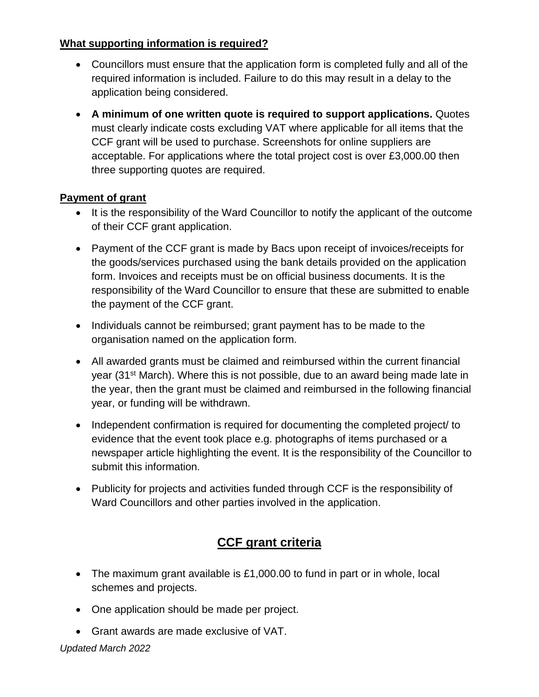#### **What supporting information is required?**

- Councillors must ensure that the application form is completed fully and all of the required information is included. Failure to do this may result in a delay to the application being considered.
- **A minimum of one written quote is required to support applications.** Quotes must clearly indicate costs excluding VAT where applicable for all items that the CCF grant will be used to purchase. Screenshots for online suppliers are acceptable. For applications where the total project cost is over £3,000.00 then three supporting quotes are required.

#### **Payment of grant**

- It is the responsibility of the Ward Councillor to notify the applicant of the outcome of their CCF grant application.
- Payment of the CCF grant is made by Bacs upon receipt of invoices/receipts for the goods/services purchased using the bank details provided on the application form. Invoices and receipts must be on official business documents. It is the responsibility of the Ward Councillor to ensure that these are submitted to enable the payment of the CCF grant.
- Individuals cannot be reimbursed; grant payment has to be made to the organisation named on the application form.
- All awarded grants must be claimed and reimbursed within the current financial year (31st March). Where this is not possible, due to an award being made late in the year, then the grant must be claimed and reimbursed in the following financial year, or funding will be withdrawn.
- Independent confirmation is required for documenting the completed project/ to evidence that the event took place e.g. photographs of items purchased or a newspaper article highlighting the event. It is the responsibility of the Councillor to submit this information.
- Publicity for projects and activities funded through CCF is the responsibility of Ward Councillors and other parties involved in the application.

# **CCF grant criteria**

- The maximum grant available is £1,000.00 to fund in part or in whole, local schemes and projects.
- One application should be made per project.
- Grant awards are made exclusive of VAT.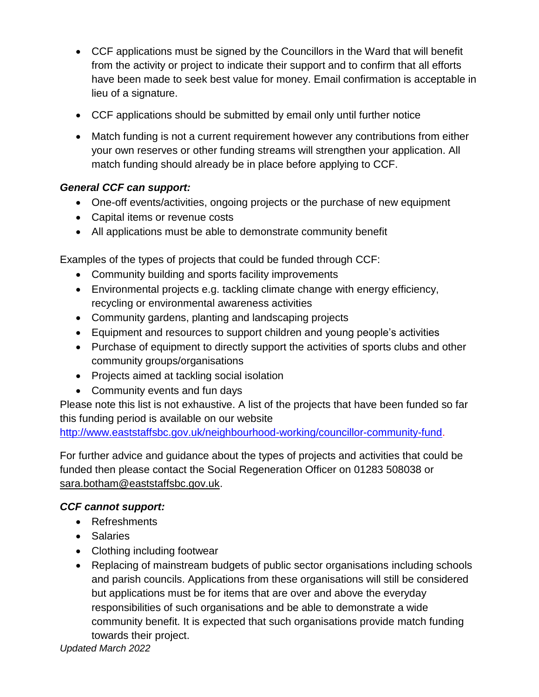- CCF applications must be signed by the Councillors in the Ward that will benefit from the activity or project to indicate their support and to confirm that all efforts have been made to seek best value for money. Email confirmation is acceptable in lieu of a signature.
- CCF applications should be submitted by email only until further notice
- Match funding is not a current requirement however any contributions from either your own reserves or other funding streams will strengthen your application. All match funding should already be in place before applying to CCF.

## *General CCF can support:*

- One-off events/activities, ongoing projects or the purchase of new equipment
- Capital items or revenue costs
- All applications must be able to demonstrate community benefit

Examples of the types of projects that could be funded through CCF:

- Community building and sports facility improvements
- Environmental projects e.g. tackling climate change with energy efficiency, recycling or environmental awareness activities
- Community gardens, planting and landscaping projects
- Equipment and resources to support children and young people's activities
- Purchase of equipment to directly support the activities of sports clubs and other community groups/organisations
- Projects aimed at tackling social isolation
- Community events and fun days

Please note this list is not exhaustive. A list of the projects that have been funded so far this funding period is available on our website

[http://www.eaststaffsbc.gov.uk/neighbourhood-working/councillor-community-fund.](http://www.eaststaffsbc.gov.uk/neighbourhood-working/councillor-community-fund)

For further advice and guidance about the types of projects and activities that could be funded then please contact the Social Regeneration Officer on 01283 508038 or [sara.botham@eaststaffsbc.gov.uk.](mailto:sara.botham@eaststaffsbc.gov.uk)

### *CCF cannot support:*

- Refreshments
- Salaries
- Clothing including footwear
- Replacing of mainstream budgets of public sector organisations including schools and parish councils. Applications from these organisations will still be considered but applications must be for items that are over and above the everyday responsibilities of such organisations and be able to demonstrate a wide community benefit. It is expected that such organisations provide match funding towards their project.

*Updated March 2022*